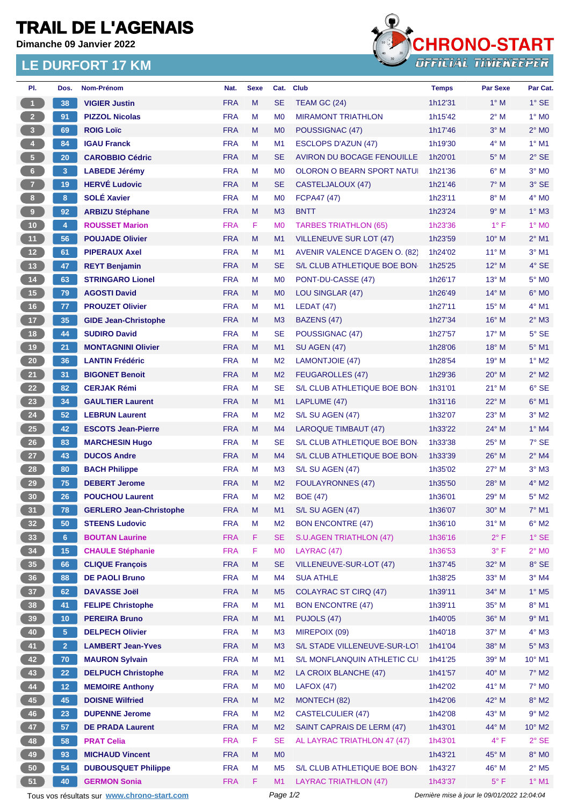## **TRAIL DE L'AGENAIS**

**Dimanche 09 Janvier 2022**

## **LE DURFORT 17 KM**



| PI.                                                                                                    | Dos.            | Nom-Prénom                                              | Nat.                     | <b>Sexe</b> | Cat.                        | <b>Club</b>                                  | <b>Temps</b>       | <b>Par Sexe</b> | Par Cat.                   |
|--------------------------------------------------------------------------------------------------------|-----------------|---------------------------------------------------------|--------------------------|-------------|-----------------------------|----------------------------------------------|--------------------|-----------------|----------------------------|
| $\overline{1}$                                                                                         | 38              | <b>VIGIER Justin</b>                                    | <b>FRA</b>               | M           | <b>SE</b>                   | TEAM GC (24)                                 | 1h12'31            | $1^\circ$ M     | $1^\circ$ SE               |
| 2 <sup>2</sup>                                                                                         | 91              | <b>PIZZOL Nicolas</b>                                   | <b>FRA</b>               | М           | M <sub>0</sub>              | <b>MIRAMONT TRIATHLON</b>                    | 1h15'42            | 2° M            | $1^\circ$ MO               |
| $\mathbf{3}$                                                                                           | 69              | <b>ROIG Loïc</b>                                        | <b>FRA</b>               | M           | M <sub>0</sub>              | POUSSIGNAC (47)                              | 1h17'46            | $3°$ M          | $2^{\circ}$ MO             |
| $\overline{4}$                                                                                         | 84              | <b>IGAU Franck</b>                                      | <b>FRA</b>               | М           | M <sub>1</sub>              | <b>ESCLOPS D'AZUN (47)</b>                   | 1h19'30            | 4° M            | $1^\circ$ M1               |
| $\sqrt{5}$                                                                                             | 20              | <b>CAROBBIO Cédric</b>                                  | <b>FRA</b>               | M           | SE                          | AVIRON DU BOCAGE FENOUILLE                   | 1h20'01            | $5^\circ$ M     | $2°$ SE                    |
| 6 <sup>1</sup>                                                                                         | 3 <sup>2</sup>  | <b>LABEDE Jérémy</b>                                    | <b>FRA</b>               | М           | M <sub>0</sub>              | <b>OLORON O BEARN SPORT NATUI</b>            | 1h21'36            | $6^\circ$ M     | $3°$ MO                    |
| $\mathbf{7}$                                                                                           | 19              | <b>HERVÉ Ludovic</b>                                    | <b>FRA</b>               | M           | <b>SE</b>                   | CASTELJALOUX (47)                            | 1h21'46            | $7^\circ$ M     | 3° SE                      |
| 8                                                                                                      | 8               | <b>SOLÉ Xavier</b>                                      | <b>FRA</b>               | М           | M <sub>0</sub>              | <b>FCPA47 (47)</b>                           | 1h23'11            | $8^\circ$ M     | $4^\circ$ MO               |
| 9                                                                                                      | 92              | <b>ARBIZU Stéphane</b>                                  | <b>FRA</b>               | M           | M <sub>3</sub>              | <b>BNTT</b>                                  | 1h23'24            | 9° M            | $1^\circ$ M3               |
| 10 <sub>1</sub>                                                                                        | $\overline{4}$  | <b>ROUSSET Marion</b>                                   | <b>FRA</b>               | F           | M <sub>0</sub>              | <b>TARBES TRIATHLON (65)</b>                 | 1h23'36            | $1^{\circ}$ F   | $1^\circ$ MO               |
| 11                                                                                                     | 56              | <b>POUJADE Olivier</b>                                  | <b>FRA</b>               | M           | M1                          | <b>VILLENEUVE SUR LOT (47)</b>               | 1h23'59            | $10^{\circ}$ M  | $2^{\circ}$ M1             |
| 12                                                                                                     | 61              | <b>PIPERAUX Axel</b>                                    | <b>FRA</b>               | М           | M1                          | AVENIR VALENCE D'AGEN O. (82)                | 1h24'02            | $11^{\circ}$ M  | $3°$ M1                    |
| 13                                                                                                     | 47              | <b>REYT Benjamin</b>                                    | <b>FRA</b>               | M           | <b>SE</b>                   | S/L CLUB ATHLETIQUE BOE BON                  | 1h25'25            | $12^{\circ}$ M  | $4^\circ$ SE               |
| 14                                                                                                     | 63              | <b>STRINGARO Lionel</b>                                 | <b>FRA</b>               | M           | M <sub>0</sub>              | PONT-DU-CASSE (47)                           | 1h26'17            | 13° M           | 5° MO                      |
| 15                                                                                                     | 79              | <b>AGOSTI David</b>                                     | <b>FRA</b>               | M           | M <sub>0</sub>              | LOU SINGLAR (47)                             | 1h26'49            | $14^{\circ}$ M  | $6^\circ$ MO               |
| 16                                                                                                     | 77              | <b>PROUZET Olivier</b>                                  | <b>FRA</b>               | М           | M1                          | LEDAT(47)                                    | 1h27'11            | $15^{\circ}$ M  | $4^{\circ}$ M1             |
| 17 <sup>2</sup>                                                                                        | 35              | <b>GIDE Jean-Christophe</b>                             | <b>FRA</b>               | M           | M <sub>3</sub>              | BAZENS (47)                                  | 1h27'34            | $16^{\circ}$ M  | $2^{\circ}$ M3             |
| 18                                                                                                     | 44              | <b>SUDIRO David</b>                                     | <b>FRA</b>               | М           | SE                          | POUSSIGNAC (47)                              | 1h27'57            | $17^{\circ}$ M  | $5^\circ$ SE               |
| 19                                                                                                     | 21              | <b>MONTAGNINI Olivier</b>                               | <b>FRA</b>               | M           | M1                          | <b>SU AGEN (47)</b>                          | 1h28'06            | $18^\circ$ M    | $5^\circ$ M1               |
| 20 <sub>2</sub>                                                                                        | 36              | <b>LANTIN Frédéric</b>                                  | <b>FRA</b>               | М           | M <sub>2</sub>              | LAMONTJOIE (47)                              | 1h28'54            | $19^{\circ}$ M  | $1^\circ$ M2               |
| 21                                                                                                     | 31              | <b>BIGONET Benoit</b>                                   | <b>FRA</b>               | M           | M <sub>2</sub>              | <b>FEUGAROLLES (47)</b>                      | 1h29'36            | $20^\circ$ M    | $2^{\circ}$ M2             |
| 22                                                                                                     | 82              | <b>CERJAK Rémi</b>                                      | <b>FRA</b>               | м           | <b>SE</b>                   | S/L CLUB ATHLETIQUE BOE BON                  | 1h31'01            | $21^{\circ}$ M  | $6°$ SE                    |
| 23                                                                                                     | 34              | <b>GAULTIER Laurent</b>                                 | <b>FRA</b>               | M           | M1                          | LAPLUME (47)                                 | 1h31'16            | 22° M           | $6^{\circ}$ M1             |
| 24                                                                                                     | 52 <sub>2</sub> | <b>LEBRUN Laurent</b>                                   | <b>FRA</b>               | М           | M <sub>2</sub>              | S/L SU AGEN (47)                             | 1h32'07            | $23^\circ$ M    | $3^\circ$ M2               |
| 25                                                                                                     | 42              | <b>ESCOTS Jean-Pierre</b>                               | <b>FRA</b>               | M           | M <sub>4</sub>              | <b>LAROQUE TIMBAUT (47)</b>                  | 1h33'22            | $24^{\circ}$ M  | $1^\circ$ M4               |
| 26                                                                                                     | 83              | <b>MARCHESIN Hugo</b>                                   | <b>FRA</b>               | М           | <b>SE</b>                   | S/L CLUB ATHLETIQUE BOE BON-                 | 1h33'38            | $25^{\circ}$ M  | $7°$ SE                    |
| 27                                                                                                     | 43              | <b>DUCOS Andre</b>                                      | <b>FRA</b>               | M           | M <sub>4</sub>              | S/L CLUB ATHLETIQUE BOE BON                  | 1h33'39            | $26^{\circ}$ M  | $2^{\circ}$ M4             |
| 28                                                                                                     | 80              | <b>BACH Philippe</b>                                    | <b>FRA</b>               | М           | M <sub>3</sub>              |                                              |                    | $27^\circ$ M    | $3°$ M $3$                 |
| 29                                                                                                     | 75              | <b>DEBERT Jerome</b>                                    | <b>FRA</b>               | M           | M <sub>2</sub>              | S/L SU AGEN (47)<br><b>FOULAYRONNES (47)</b> | 1h35'02<br>1h35'50 | $28^\circ$ M    | $4^\circ$ M2               |
| 30                                                                                                     | 26              | <b>POUCHOU Laurent</b>                                  | <b>FRA</b>               | M           | M <sub>2</sub>              | <b>BOE (47)</b>                              | 1h36'01            | 29° M           | $5^\circ$ M2               |
|                                                                                                        |                 |                                                         |                          |             |                             |                                              | 1h36'07            | 30° M           |                            |
| 31)                                                                                                    | 78<br>50        | <b>GERLERO Jean-Christophe</b><br><b>STEENS Ludovic</b> | <b>FRA</b><br><b>FRA</b> | M           | M1                          | S/L SU AGEN (47)<br><b>BON ENCONTRE (47)</b> | 1h36'10            | $31^\circ$ M    | 7° M1<br>$6^\circ$ M2      |
| 32 <sub>2</sub>                                                                                        |                 | <b>BOUTAN Laurine</b>                                   | <b>FRA</b>               | М<br>F      | M <sub>2</sub><br><b>SE</b> | S.U.AGEN TRIATHLON (47)                      | 1h36'16            | $2^{\circ}$ F   | $1^\circ$ SE               |
| 33                                                                                                     | 6 <sup>1</sup>  |                                                         |                          |             |                             |                                              |                    |                 |                            |
| 34                                                                                                     | 15              | <b>CHAULE Stéphanie</b>                                 | <b>FRA</b>               | F           | M <sub>0</sub>              | LAYRAC (47)<br>VILLENEUVE-SUR-LOT (47)       | 1h36'53            | $3^{\circ}$ F   | $2^{\circ}$ MO             |
| 35                                                                                                     | 66              | <b>CLIQUE François</b><br><b>DE PAOLI Bruno</b>         | <b>FRA</b>               | M           | <b>SE</b>                   |                                              | 1h37'45            | 32° M<br>33° M  | 8° SE                      |
| 36                                                                                                     | 88              |                                                         | <b>FRA</b>               | М           | M4                          | <b>SUA ATHLE</b>                             | 1h38'25            |                 | $3^\circ$ M4               |
| 37 <sup>°</sup>                                                                                        | 62              | <b>DAVASSE Joël</b>                                     | <b>FRA</b>               | M           | M <sub>5</sub>              | <b>COLAYRAC ST CIRQ (47)</b>                 | 1h39'11            | 34° M           | $1^\circ$ M <sub>5</sub>   |
| 38                                                                                                     | 41              | <b>FELIPE Christophe</b>                                | <b>FRA</b>               | M           | M1                          | <b>BON ENCONTRE (47)</b>                     | 1h39'11            | $35^\circ$ M    | $8^\circ$ M1               |
| 39                                                                                                     | 10 <sub>1</sub> | <b>PEREIRA Bruno</b>                                    | <b>FRA</b>               | M           | M1                          | PUJOLS (47)                                  | 1h40'05            | 36° M           | $9°$ M1                    |
| 40                                                                                                     | 5 <sub>1</sub>  | <b>DELPECH Olivier</b>                                  | <b>FRA</b>               | М           | M <sub>3</sub>              | MIREPOIX (09)                                | 1h40'18            | 37° M           | $4^\circ$ M3               |
| 41                                                                                                     | 2 <sup>7</sup>  | <b>LAMBERT Jean-Yves</b>                                | <b>FRA</b>               | M           | M <sub>3</sub>              | S/L STADE VILLENEUVE-SUR-LOT                 | 1h41'04            | 38° M           | $5^\circ$ M3               |
| 42                                                                                                     | 70              | <b>MAURON Sylvain</b>                                   | <b>FRA</b>               | M           | M1                          | S/L MONFLANQUIN ATHLETIC CLI                 | 1h41'25            | 39° M           | $10^{\circ}$ M1            |
| 43                                                                                                     | 22              | <b>DELPUCH Christophe</b>                               | <b>FRA</b>               | M           | M <sub>2</sub>              | LA CROIX BLANCHE (47)                        | 1h41'57            | 40° M           | $7^\circ$ M2               |
| 44                                                                                                     | 12              | <b>MEMOIRE Anthony</b>                                  | <b>FRA</b>               | М           | M <sub>0</sub>              | LAFOX(47)                                    | 1h42'02            | 41° M           | 7° M <sub>0</sub>          |
| 45                                                                                                     | 45              | <b>DOISNE Wilfried</b>                                  | <b>FRA</b>               | M           | M <sub>2</sub>              | MONTECH (82)                                 | 1h42'06            | 42° M           | $8^\circ$ M2               |
| 46                                                                                                     | 23              | <b>DUPENNE Jerome</b>                                   | <b>FRA</b>               | M           | M <sub>2</sub>              | <b>CASTELCULIER (47)</b>                     | 1h42'08            | 43° M           | $9°$ M2                    |
| 47                                                                                                     | 57              | <b>DE PRADA Laurent</b>                                 | <b>FRA</b>               | M           | M <sub>2</sub>              | SAINT CAPRAIS DE LERM (47)                   | 1h43'01            | 44° M           | $10^{\circ}$ M2            |
| 48                                                                                                     | 58              | <b>PRAT Celia</b>                                       | <b>FRA</b>               | F.          | <b>SE</b>                   | AL LAYRAC TRIATHLON 47 (47)                  | 1h43'01            | $4^{\circ}$ F   | $2^{\circ}$ SE             |
| 49                                                                                                     | 93              | <b>MICHAUD Vincent</b>                                  | <b>FRA</b>               | M           | M <sub>0</sub>              |                                              | 1h43'21            | 45° M           | $8^\circ$ MO               |
| 50                                                                                                     | 54              | <b>DUBOUSQUET Philippe</b>                              | <b>FRA</b>               | М           | M <sub>5</sub>              | S/L CLUB ATHLETIQUE BOE BON-                 | 1h43'27            | 46° M           | $2^{\circ}$ M <sub>5</sub> |
| 51                                                                                                     | 40              | <b>GERMON Sonia</b>                                     | <b>FRA</b>               | F           | M1                          | <b>LAYRAC TRIATHLON (47)</b>                 | 1h43'37            | $5^{\circ}$ F   | $1^\circ$ M1               |
| Page 1/2<br>Tous vos résultats sur www.chrono-start.com<br>Dernière mise à jour le 09/01/2022 12:04:04 |                 |                                                         |                          |             |                             |                                              |                    |                 |                            |